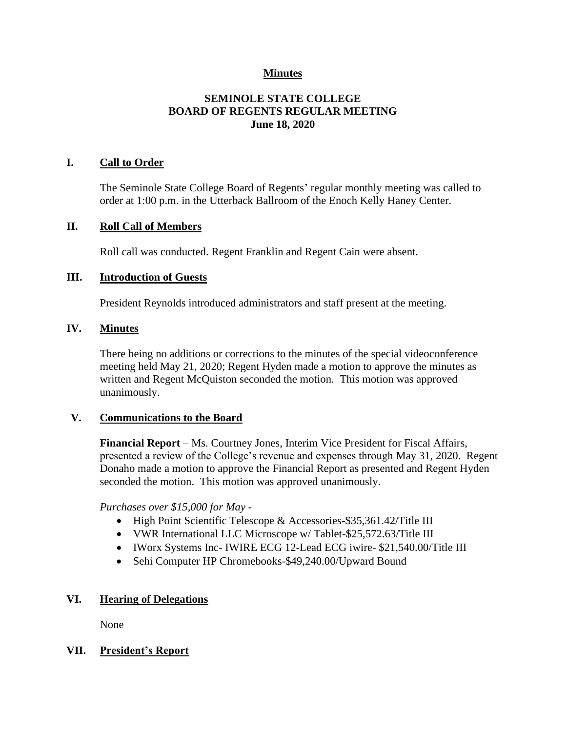# **Minutes**

# **SEMINOLE STATE COLLEGE BOARD OF REGENTS REGULAR MEETING June 18, 2020**

### **I. Call to Order**

The Seminole State College Board of Regents' regular monthly meeting was called to order at 1:00 p.m. in the Utterback Ballroom of the Enoch Kelly Haney Center.

#### **II. Roll Call of Members**

Roll call was conducted. Regent Franklin and Regent Cain were absent.

#### **III. Introduction of Guests**

President Reynolds introduced administrators and staff present at the meeting.

#### **IV. Minutes**

There being no additions or corrections to the minutes of the special videoconference meeting held May 21, 2020; Regent Hyden made a motion to approve the minutes as written and Regent McQuiston seconded the motion. This motion was approved unanimously.

#### **V. Communications to the Board**

**Financial Report** – Ms. Courtney Jones, Interim Vice President for Fiscal Affairs, presented a review of the College's revenue and expenses through May 31, 2020. Regent Donaho made a motion to approve the Financial Report as presented and Regent Hyden seconded the motion. This motion was approved unanimously.

*Purchases over \$15,000 for May -*

- High Point Scientific Telescope & Accessories-\$35,361.42/Title III
- VWR International LLC Microscope w/ Tablet-\$25,572.63/Title III
- IWorx Systems Inc- IWIRE ECG 12-Lead ECG iwire- \$21,540.00/Title III
- Sehi Computer HP Chromebooks-\$49,240.00/Upward Bound

#### **VI. Hearing of Delegations**

None

### **VII. President's Report**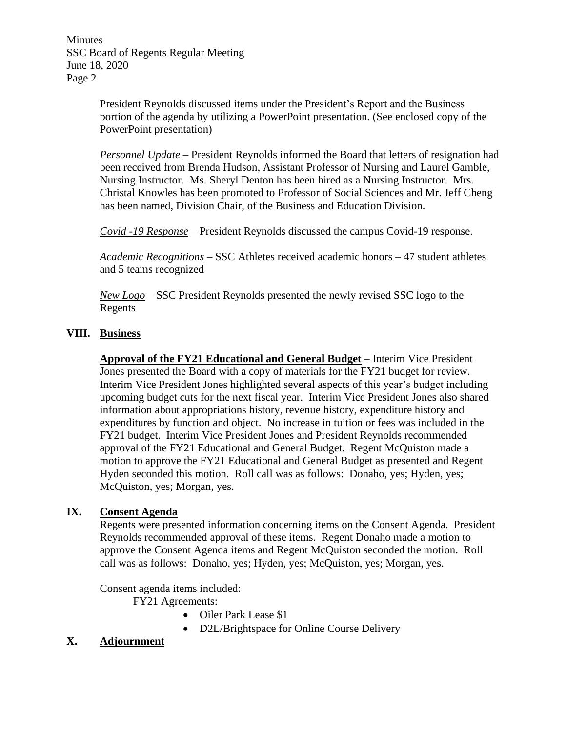Minutes SSC Board of Regents Regular Meeting June 18, 2020 Page 2

> President Reynolds discussed items under the President's Report and the Business portion of the agenda by utilizing a PowerPoint presentation. (See enclosed copy of the PowerPoint presentation)

*Personnel Update* – President Reynolds informed the Board that letters of resignation had been received from Brenda Hudson, Assistant Professor of Nursing and Laurel Gamble, Nursing Instructor. Ms. Sheryl Denton has been hired as a Nursing Instructor. Mrs. Christal Knowles has been promoted to Professor of Social Sciences and Mr. Jeff Cheng has been named, Division Chair, of the Business and Education Division.

*Covid -19 Response* – President Reynolds discussed the campus Covid-19 response.

*Academic Recognitions* – SSC Athletes received academic honors – 47 student athletes and 5 teams recognized

*New Logo* – SSC President Reynolds presented the newly revised SSC logo to the Regents

### **VIII. Business**

**Approval of the FY21 Educational and General Budget** – Interim Vice President Jones presented the Board with a copy of materials for the FY21 budget for review. Interim Vice President Jones highlighted several aspects of this year's budget including upcoming budget cuts for the next fiscal year. Interim Vice President Jones also shared information about appropriations history, revenue history, expenditure history and expenditures by function and object. No increase in tuition or fees was included in the FY21 budget. Interim Vice President Jones and President Reynolds recommended approval of the FY21 Educational and General Budget. Regent McQuiston made a motion to approve the FY21 Educational and General Budget as presented and Regent Hyden seconded this motion. Roll call was as follows: Donaho, yes; Hyden, yes; McQuiston, yes; Morgan, yes.

### **IX. Consent Agenda**

Regents were presented information concerning items on the Consent Agenda. President Reynolds recommended approval of these items. Regent Donaho made a motion to approve the Consent Agenda items and Regent McQuiston seconded the motion. Roll call was as follows: Donaho, yes; Hyden, yes; McQuiston, yes; Morgan, yes.

Consent agenda items included:

FY21 Agreements:

- Oiler Park Lease \$1
- D2L/Brightspace for Online Course Delivery

# **X. Adjournment**